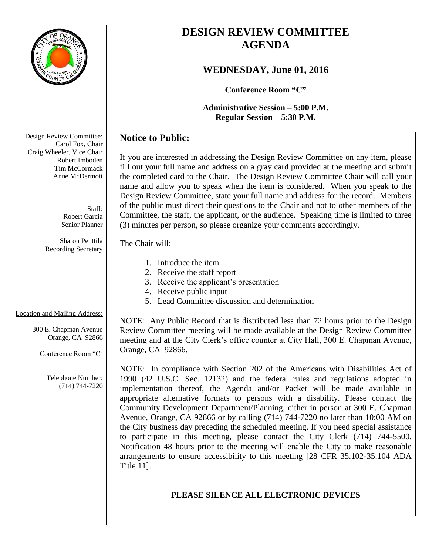

# **DESIGN REVIEW COMMITTEE AGENDA**

## **WEDNESDAY, June 01, 2016**

**Conference Room "C"**

**Administrative Session – 5:00 P.M. Regular Session – 5:30 P.M.**

## **Notice to Public:**

If you are interested in addressing the Design Review Committee on any item, please fill out your full name and address on a gray card provided at the meeting and submit the completed card to the Chair. The Design Review Committee Chair will call your name and allow you to speak when the item is considered. When you speak to the Design Review Committee, state your full name and address for the record. Members of the public must direct their questions to the Chair and not to other members of the Committee, the staff, the applicant, or the audience. Speaking time is limited to three (3) minutes per person, so please organize your comments accordingly.

#### The Chair will:

- 1. Introduce the item
- 2. Receive the staff report
- 3. Receive the applicant's presentation
- 4. Receive public input
- 5. Lead Committee discussion and determination

## Location and Mailing Address:

300 E. Chapman Avenue Orange, CA 92866

Conference Room "C"

Telephone Number: (714) 744-7220 NOTE: Any Public Record that is distributed less than 72 hours prior to the Design Review Committee meeting will be made available at the Design Review Committee meeting and at the City Clerk's office counter at City Hall, 300 E. Chapman Avenue, Orange, CA 92866.

NOTE: In compliance with Section 202 of the Americans with Disabilities Act of 1990 (42 U.S.C. Sec. 12132) and the federal rules and regulations adopted in implementation thereof, the Agenda and/or Packet will be made available in appropriate alternative formats to persons with a disability. Please contact the Community Development Department/Planning, either in person at 300 E. Chapman Avenue, Orange, CA 92866 or by calling (714) 744-7220 no later than 10:00 AM on the City business day preceding the scheduled meeting. If you need special assistance to participate in this meeting, please contact the City Clerk (714) 744-5500. Notification 48 hours prior to the meeting will enable the City to make reasonable arrangements to ensure accessibility to this meeting [28 CFR 35.102-35.104 ADA Title 11].

## **PLEASE SILENCE ALL ELECTRONIC DEVICES**

Design Review Committee: Carol Fox, Chair Craig Wheeler, Vice Chair Robert Imboden Tim McCormack Anne McDermott

> Staff: Robert Garcia Senior Planner

Sharon Penttila Recording Secretary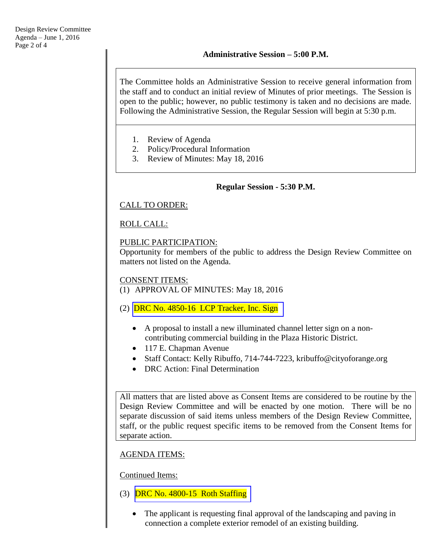The Committee holds an Administrative Session to receive general information from the staff and to conduct an initial review of Minutes of prior meetings. The Session is open to the public; however, no public testimony is taken and no decisions are made. Following the Administrative Session, the Regular Session will begin at 5:30 p.m.

- 1. Review of Agenda
- 2. Policy/Procedural Information
- 3. Review of Minutes: May 18, 2016

#### **Regular Session - 5:30 P.M.**

### CALL TO ORDER:

### ROLL CALL:

### PUBLIC PARTICIPATION:

Opportunity for members of the public to address the Design Review Committee on matters not listed on the Agenda.

#### CONSENT ITEMS:

- (1) APPROVAL OF MINUTES: May 18, 2016
- (2)  $DRC No. 4850-16 LCP Tracker, Inc. Sign$ 
	- A proposal to install a new illuminated channel letter sign on a noncontributing commercial building in the Plaza Historic District.
	- 117 E. Chapman Avenue
	- Staff Contact: Kelly Ribuffo, 714-744-7223, kribuffo@cityoforange.org
	- DRC Action: Final Determination

All matters that are listed above as Consent Items are considered to be routine by the Design Review Committee and will be enacted by one motion. There will be no separate discussion of said items unless members of the Design Review Committee, staff, or the public request specific items to be removed from the Consent Items for separate action.

### AGENDA ITEMS:

Continued Items:

- (3) [DRC No. 4800-15 Roth Staffing](http://www.cityoforange.org/civicax/filebank/blobdload.aspx?BlobID=17786)
	- The applicant is requesting final approval of the landscaping and paving in connection a complete exterior remodel of an existing building.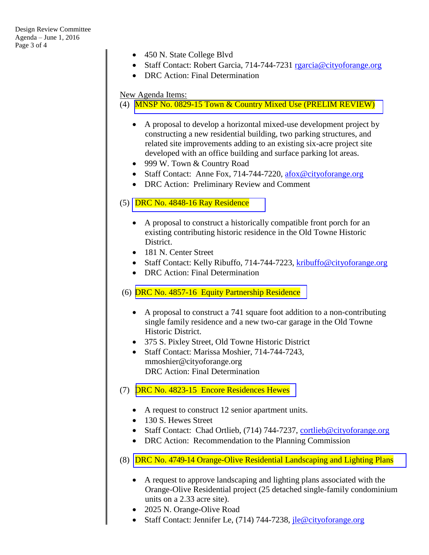- 450 N. State College Blvd
- Staff Contact: Robert Garcia, 714-744-7231 [rgarcia@cityoforange.org](mailto:rgarcia@cityoforange.org)
- DRC Action: Final Determination

#### New Agenda Items:

(4) [MNSP No. 0829-15 Town & Country Mixed Use](http://www.cityoforange.org/civicax/filebank/blobdload.aspx?BlobID=17787) (PRELIM REVIEW)

- A proposal to develop a horizontal mixed-use development project by constructing a new residential building, two parking structures, and related site improvements adding to an existing six-acre project site developed with an office building and surface parking lot areas.
- 999 W. Town & Country Road
- Staff Contact: Anne Fox, 714-744-7220, [afox@cityoforange.org](mailto:afox@cityoforange.org)
- DRC Action: Preliminary Review and Comment

#### (5) DRC No.  $4848-16$  Ray Residence

- A proposal to construct a historically compatible front porch for an existing contributing historic residence in the Old Towne Historic District.
- 181 N. Center Street
- Staff Contact: Kelly Ribuffo, 714-744-7223, [kribuffo@cityoforange.org](mailto:kribuffo@cityoforange.org)
- DRC Action: Final Determination

#### (6) [DRC No. 4857-16 Equity Partnership Residence](http://www.cityoforange.org/civicax/filebank/blobdload.aspx?BlobID=17785)

- A proposal to construct a 741 square foot addition to a non-contributing single family residence and a new two-car garage in the Old Towne Historic District.
- 375 S. Pixley Street, Old Towne Historic District
- Staff Contact: Marissa Moshier, 714-744-7243, mmoshier@cityoforange.org DRC Action: Final Determination
- (7) [DRC No. 4823-15 Encore Residences Hewes](http://www.cityoforange.org/civicax/filebank/blobdload.aspx?BlobID=17788)
	- A request to construct 12 senior apartment units.
	- 130 S. Hewes Street
	- Staff Contact: Chad Ortlieb, (714) 744-7237, [cortlieb@cityoforange.org](mailto:cortlieb@cityoforange.org)
	- DRC Action: Recommendation to the Planning Commission
- (8) DRC No. 4749-14 [Orange-Olive Residential Landscaping and Lighting Plans](http://www.cityoforange.org/civicax/filebank/blobdload.aspx?BlobID=17789)
	- A request to approve landscaping and lighting plans associated with the Orange-Olive Residential project (25 detached single-family condominium units on a 2.33 acre site).
	- 2025 N. Orange-Olive Road
	- Staff Contact: Jennifer Le, (714) 744-7238, *ile@cityoforange.org*